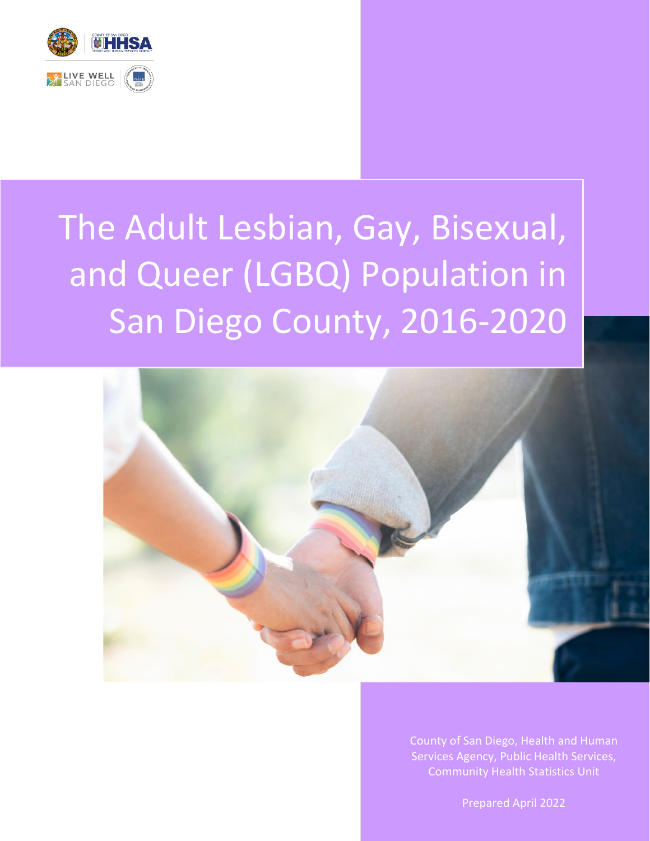

# The Adult Lesbian, Gay, Bisexual, and Queer (LGBQ) Population in San Diego County, 2016-2020



County of San Diego, Health and Human Services Agency, Public Health Services, Community Health Statistics Unit

Prepared April 2022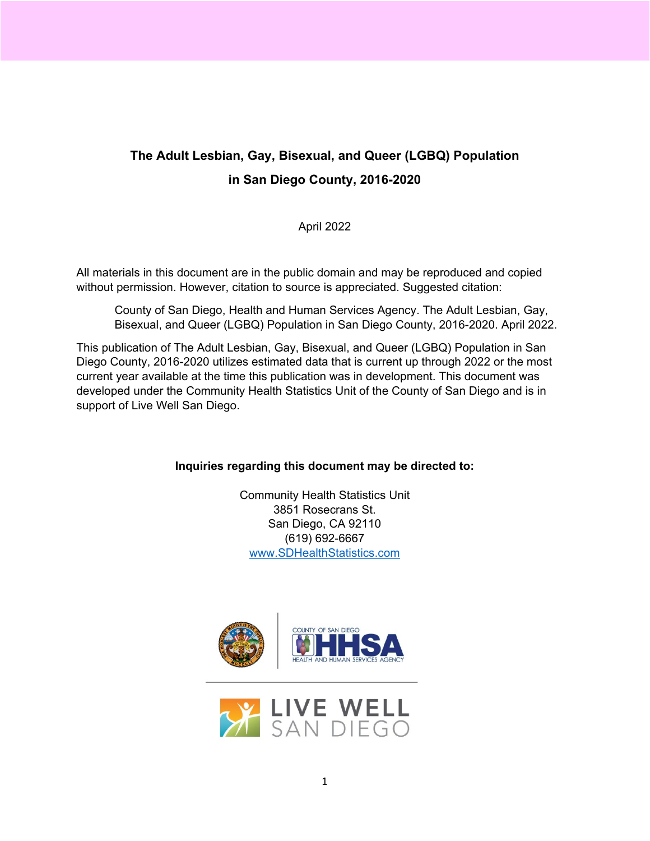## **The Adult Lesbian, Gay, Bisexual, and Queer (LGBQ) Population in San Diego County, 2016-2020**

April 2022

All materials in this document are in the public domain and may be reproduced and copied without permission. However, citation to source is appreciated. Suggested citation:

County of San Diego, Health and Human Services Agency. The Adult Lesbian, Gay, Bisexual, and Queer (LGBQ) Population in San Diego County, 2016-2020. April 2022.

This publication of The Adult Lesbian, Gay, Bisexual, and Queer (LGBQ) Population in San Diego County, 2016-2020 utilizes estimated data that is current up through 2022 or the most current year available at the time this publication was in development. This document was developed under the Community Health Statistics Unit of the County of San Diego and is in support of Live Well San Diego.

#### **Inquiries regarding this document may be directed to:**

Community Health Statistics Unit 3851 Rosecrans St. San Diego, CA 92110 (619) 692-6667 [www.SDHealthStatistics.com](http://www.sdhealthstatistics.com/)



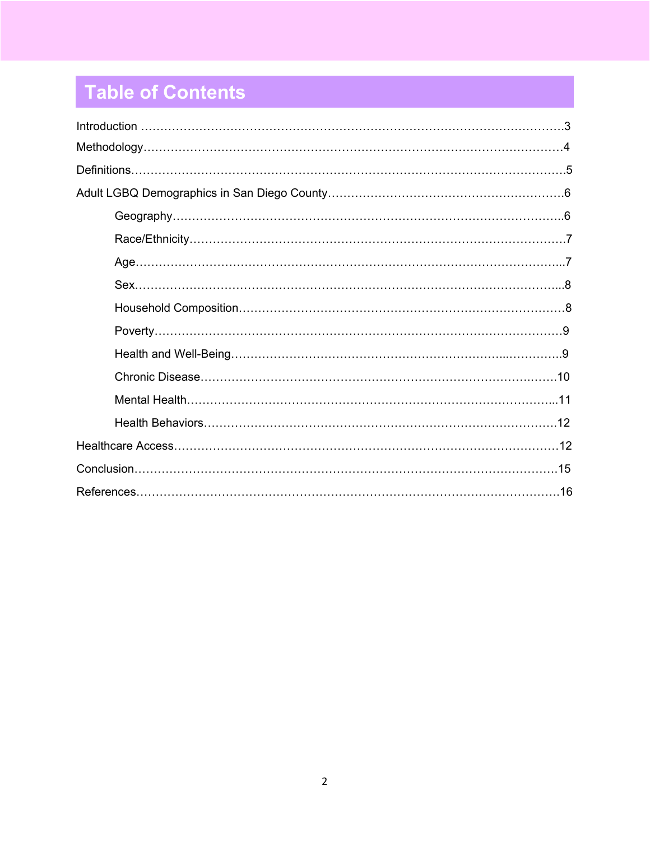# **Table of Contents Table of Contents**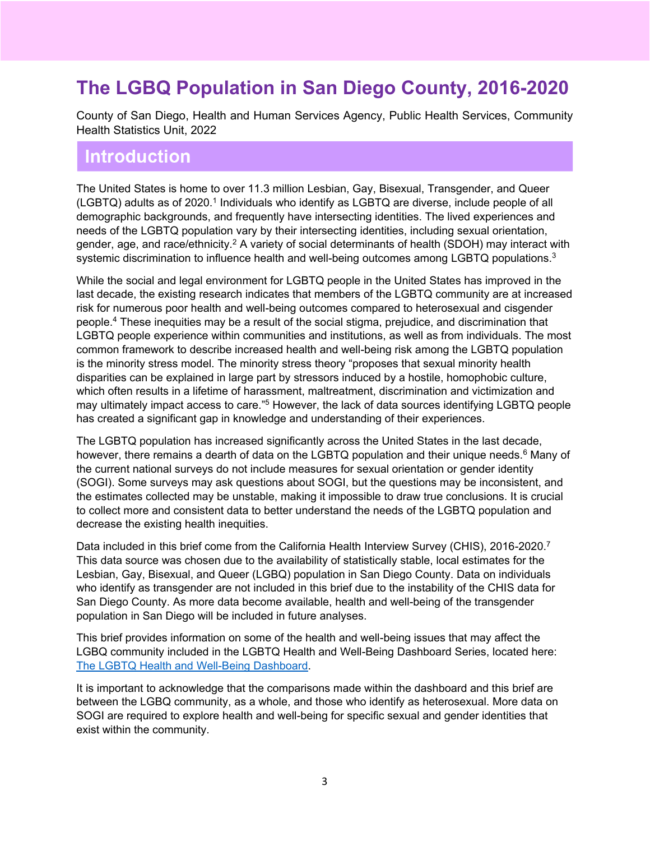# **The LGBQ Population in San Diego County, 2016-2020**

County of San Diego, Health and Human Services Agency, Public Health Services, Community Health Statistics Unit, 2022

## **Introduction**

The United States is home to over 11.3 million Lesbian, Gay, Bisexual, Transgender, and Queer (LGBTQ) adults as of 2020.<sup>1</sup> Individuals who identify as LGBTQ are diverse, include people of all demographic backgrounds, and frequently have intersecting identities. The lived experiences and needs of the LGBTQ population vary by their intersecting identities, including sexual orientation, gender, age, and race/ethnicity.2 A variety of social determinants of health (SDOH) may interact with systemic discrimination to influence health and well-being outcomes among LGBTQ populations.<sup>3</sup>

While the social and legal environment for LGBTQ people in the United States has improved in the last decade, the existing research indicates that members of the LGBTQ community are at increased risk for numerous poor health and well-being outcomes compared to heterosexual and cisgender people.4 These inequities may be a result of the social stigma, prejudice, and discrimination that LGBTQ people experience within communities and institutions, as well as from individuals. The most common framework to describe increased health and well-being risk among the LGBTQ population is the minority stress model. The minority stress theory "proposes that sexual minority health disparities can be explained in large part by stressors induced by a hostile, homophobic culture, which often results in a lifetime of harassment, maltreatment, discrimination and victimization and may ultimately impact access to care."5 However, the lack of data sources identifying LGBTQ people has created a significant gap in knowledge and understanding of their experiences.

The LGBTQ population has increased significantly across the United States in the last decade, however, there remains a dearth of data on the LGBTQ population and their unique needs.<sup>6</sup> Many of the current national surveys do not include measures for sexual orientation or gender identity (SOGI). Some surveys may ask questions about SOGI, but the questions may be inconsistent, and the estimates collected may be unstable, making it impossible to draw true conclusions. It is crucial to collect more and consistent data to better understand the needs of the LGBTQ population and decrease the existing health inequities.

Data included in this brief come from the California Health Interview Survey (CHIS), 2016-2020.<sup>7</sup> This data source was chosen due to the availability of statistically stable, local estimates for the Lesbian, Gay, Bisexual, and Queer (LGBQ) population in San Diego County. Data on individuals who identify as transgender are not included in this brief due to the instability of the CHIS data for San Diego County. As more data become available, health and well-being of the transgender population in San Diego will be included in future analyses.

This brief provides information on some of the health and well-being issues that may affect the LGBQ community included in the LGBTQ Health and Well-Being Dashboard Series, located here: [The LGBTQ Health and Well-Being Dashboard.](https://public.tableau.com/views/LGBTQHealthandWell-Being_16473833366900/LGBTQPopulationinSanDiego?:language=en-US&publish=yes&:display_count=n&:origin=viz_share_link)

It is important to acknowledge that the comparisons made within the dashboard and this brief are between the LGBQ community, as a whole, and those who identify as heterosexual. More data on SOGI are required to explore health and well-being for specific sexual and gender identities that exist within the community.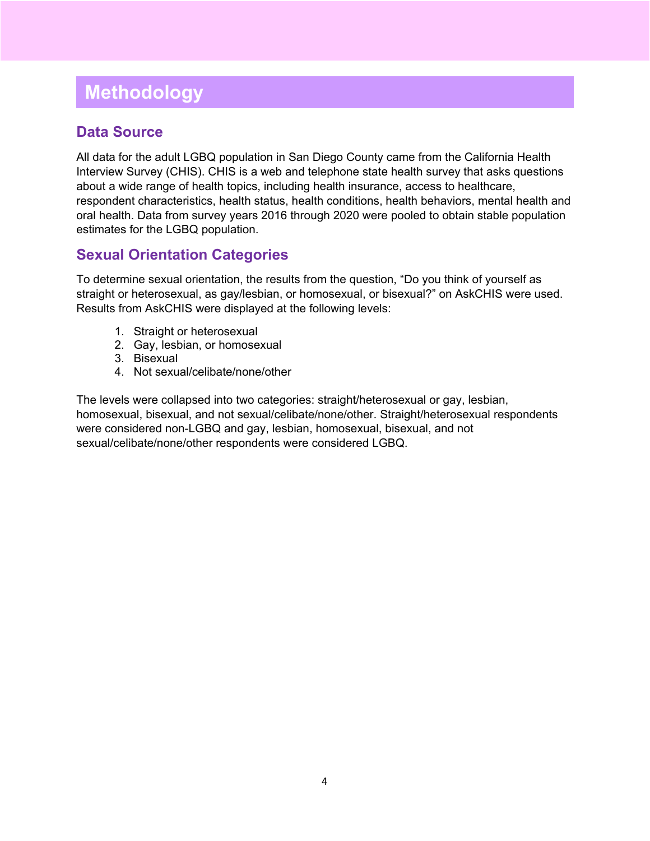# **Methodology**

#### **Data Source**

All data for the adult LGBQ population in San Diego County came from the California Health Interview Survey (CHIS). CHIS is a web and telephone state health survey that asks questions about a wide range of health topics, including health insurance, access to healthcare, respondent characteristics, health status, health conditions, health behaviors, mental health and oral health. Data from survey years 2016 through 2020 were pooled to obtain stable population estimates for the LGBQ population.

## **Sexual Orientation Categories**

To determine sexual orientation, the results from the question, "Do you think of yourself as straight or heterosexual, as gay/lesbian, or homosexual, or bisexual?" on AskCHIS were used. Results from AskCHIS were displayed at the following levels:

- 1. Straight or heterosexual
- 2. Gay, lesbian, or homosexual
- 3. Bisexual
- 4. Not sexual/celibate/none/other

The levels were collapsed into two categories: straight/heterosexual or gay, lesbian, homosexual, bisexual, and not sexual/celibate/none/other. Straight/heterosexual respondents were considered non-LGBQ and gay, lesbian, homosexual, bisexual, and not sexual/celibate/none/other respondents were considered LGBQ.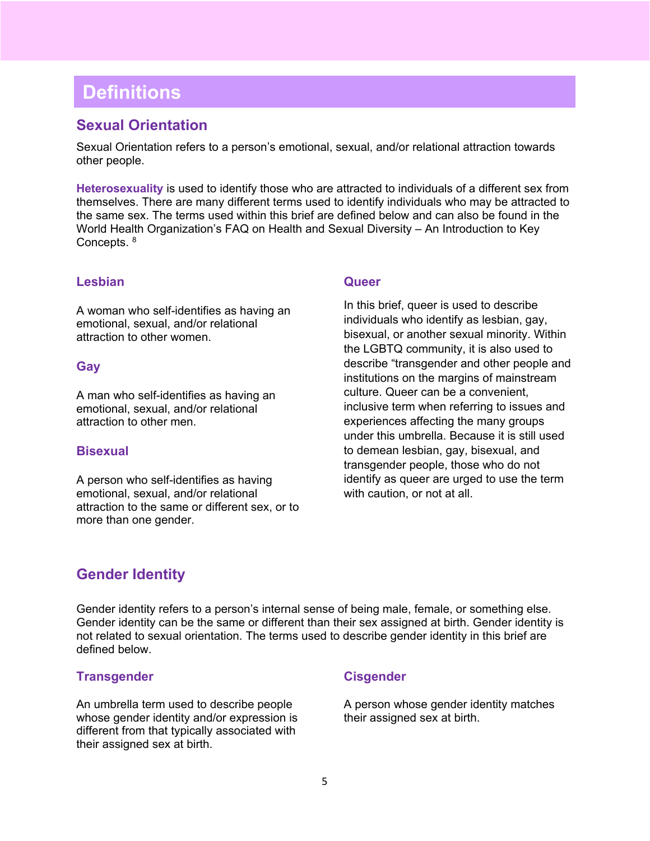# **Definitions**

#### **Sexual Orientation**

Sexual Orientation refers to a person's emotional, sexual, and/or relational attraction towards other people.

**Heterosexuality** is used to identify those who are attracted to individuals of a different sex from themselves. There are many different terms used to identify individuals who may be attracted to the same sex. The terms used within this brief are defined below and can also be found in the World Health Organization's FAQ on Health and Sexual Diversity – An Introduction to Key Concepts. 8

#### **Lesbian**

A woman who self-identifies as having an emotional, sexual, and/or relational attraction to other women.

#### **Gay**

A man who self-identifies as having an emotional, sexual, and/or relational attraction to other men.

#### **Bisexual**

A person who self-identifies as having emotional, sexual, and/or relational attraction to the same or different sex, or to more than one gender.

#### **Queer**

In this brief, queer is used to describe individuals who identify as lesbian, gay, bisexual, or another sexual minority. Within the LGBTQ community, it is also used to describe "transgender and other people and institutions on the margins of mainstream culture. Queer can be a convenient, inclusive term when referring to issues and experiences affecting the many groups under this umbrella. Because it is still used to demean lesbian, gay, bisexual, and transgender people, those who do not identify as queer are urged to use the term with caution, or not at all.

#### **Gender Identity**

Gender identity refers to a person's internal sense of being male, female, or something else. Gender identity can be the same or different than their sex assigned at birth. Gender identity is not related to sexual orientation. The terms used to describe gender identity in this brief are defined below.

#### **Transgender**

An umbrella term used to describe people whose gender identity and/or expression is different from that typically associated with their assigned sex at birth.

#### **Cisgender**

A person whose gender identity matches their assigned sex at birth.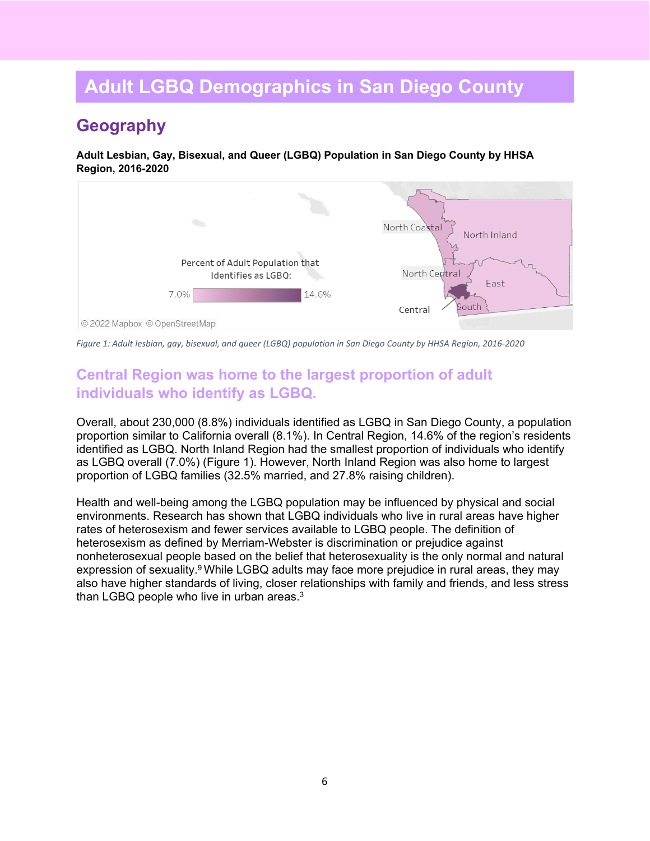# **Adult LGBQ Demographics in San Diego County**

# **Geography**

**Adult Lesbian, Gay, Bisexual, and Queer (LGBQ) Population in San Diego County by HHSA Region, 2016-2020**



*Figure 1: Adult lesbian, gay, bisexual, and queer (LGBQ) population in San Diego County by HHSA Region, 2016-2020*

## **Central Region was home to the largest proportion of adult individuals who identify as LGBQ.**

Overall, about 230,000 (8.8%) individuals identified as LGBQ in San Diego County, a population proportion similar to California overall (8.1%). In Central Region, 14.6% of the region's residents identified as LGBQ. North Inland Region had the smallest proportion of individuals who identify as LGBQ overall (7.0%) (Figure 1). However, North Inland Region was also home to largest proportion of LGBQ families (32.5% married, and 27.8% raising children).

Health and well-being among the LGBQ population may be influenced by physical and social environments. Research has shown that LGBQ individuals who live in rural areas have higher rates of heterosexism and fewer services available to LGBQ people. The definition of heterosexism as defined by Merriam-Webster is discrimination or prejudice against nonheterosexual people based on the belief that heterosexuality is the only normal and natural expression of sexuality. <sup>9</sup> While LGBQ adults may face more prejudice in rural areas, they may also have higher standards of living, closer relationships with family and friends, and less stress than LGBQ people who live in urban areas.<sup>3</sup>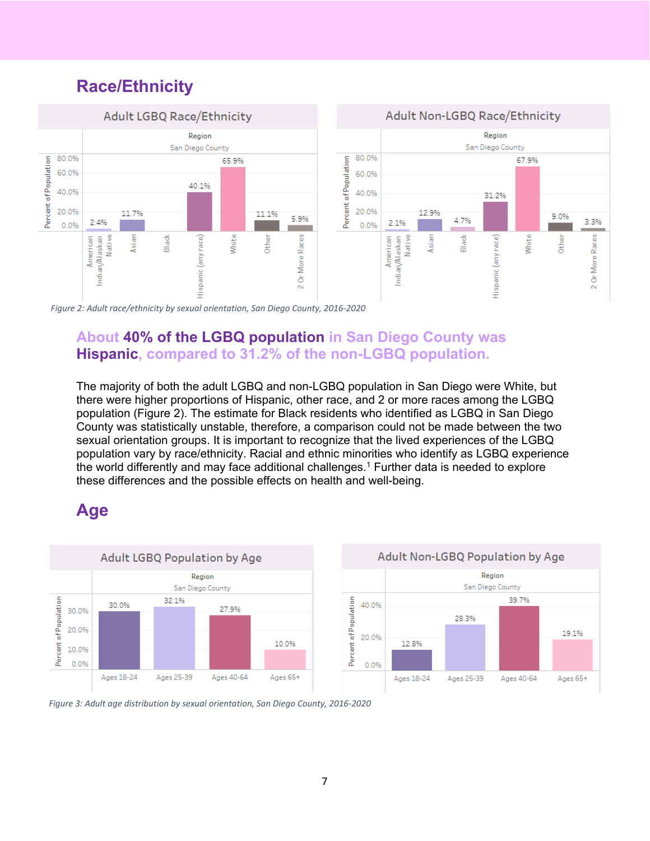# **Race/Ethnicity**



*Figure 2: Adult race/ethnicity by sexual orientation, San Diego County, 2016-2020*

## **About 40% of the LGBQ population in San Diego County was Hispanic, compared to 31.2% of the non-LGBQ population.**

The majority of both the adult LGBQ and non-LGBQ population in San Diego were White, but there were higher proportions of Hispanic, other race, and 2 or more races among the LGBQ population (Figure 2). The estimate for Black residents who identified as LGBQ in San Diego County was statistically unstable, therefore, a comparison could not be made between the two sexual orientation groups. It is important to recognize that the lived experiences of the LGBQ population vary by race/ethnicity. Racial and ethnic minorities who identify as LGBQ experience the world differently and may face additional challenges.<sup>1</sup> Further data is needed to explore these differences and the possible effects on health and well-being.

## **Age**





*Figure 3: Adult age distribution by sexual orientation, San Diego County, 2016-2020*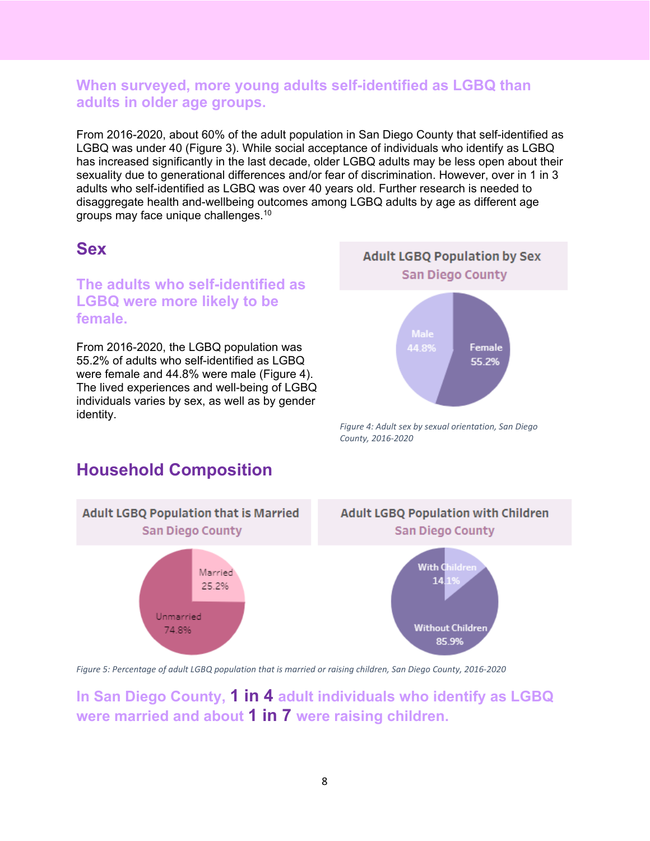#### **When surveyed, more young adults self-identified as LGBQ than adults in older age groups.**

From 2016-2020, about 60% of the adult population in San Diego County that self-identified as LGBQ was under 40 (Figure 3). While social acceptance of individuals who identify as LGBQ has increased significantly in the last decade, older LGBQ adults may be less open about their sexuality due to generational differences and/or fear of discrimination. However, over in 1 in 3 adults who self-identified as LGBQ was over 40 years old. Further research is needed to disaggregate health and-wellbeing outcomes among LGBQ adults by age as different age groups may face unique challenges.10

## **Sex**

## **The adults who self-identified as LGBQ were more likely to be female.**

From 2016-2020, the LGBQ population was 55.2% of adults who self-identified as LGBQ were female and 44.8% were male (Figure 4). The lived experiences and well-being of LGBQ individuals varies by sex, as well as by gender identity.



*Figure 4: Adult sex by sexual orientation, San Diego County, 2016-2020*

## **Household Composition**



*Figure 5: Percentage of adult LGBQ population that is married or raising children, San Diego County, 2016-2020*

**In San Diego County, 1 in 4 adult individuals who identify as LGBQ were married and about 1 in 7 were raising children.**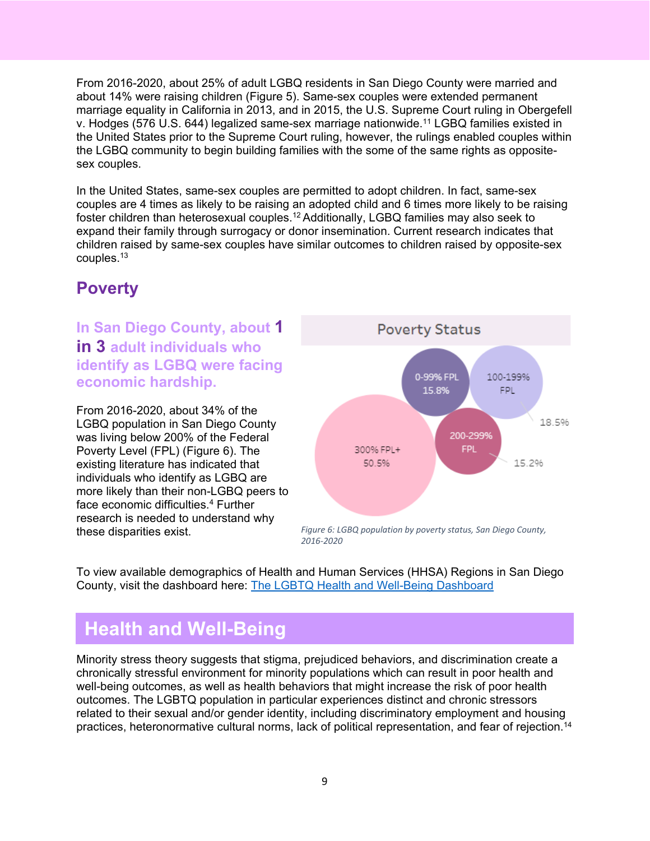From 2016-2020, about 25% of adult LGBQ residents in San Diego County were married and about 14% were raising children (Figure 5). Same-sex couples were extended permanent marriage equality in California in 2013, and in 2015, the U.S. Supreme Court ruling in Obergefell v. Hodges (576 U.S. 644) legalized same-sex marriage nationwide.11 LGBQ families existed in the United States prior to the Supreme Court ruling, however, the rulings enabled couples within the LGBQ community to begin building families with the some of the same rights as oppositesex couples.

In the United States, same-sex couples are permitted to adopt children. In fact, same-sex couples are 4 times as likely to be raising an adopted child and 6 times more likely to be raising foster children than heterosexual couples.12 Additionally, LGBQ families may also seek to expand their family through surrogacy or donor insemination. Current research indicates that children raised by same-sex couples have similar outcomes to children raised by opposite-sex couples.13

## **Poverty**

**In San Diego County, about 1 in 3 adult individuals who identify as LGBQ were facing economic hardship.** 

From 2016-2020, about 34% of the LGBQ population in San Diego County was living below 200% of the Federal Poverty Level (FPL) (Figure 6). The existing literature has indicated that individuals who identify as LGBQ are more likely than their non-LGBQ peers to face economic difficulties.4 Further research is needed to understand why these disparities exist.



*Figure 6: LGBQ population by poverty status, San Diego County, 2016-2020*

To view available demographics of Health and Human Services (HHSA) Regions in San Diego County, visit the dashboard here: [The LGBTQ Health and Well-Being Dashboard](https://public.tableau.com/views/LGBTQHealthandWell-Being_16473833366900/LGBTQPopulationinSanDiego?:language=en-US&publish=yes&:display_count=n&:origin=viz_share_link)

# **Health and Well-Being**

Minority stress theory suggests that stigma, prejudiced behaviors, and discrimination create a chronically stressful environment for minority populations which can result in poor health and well-being outcomes, as well as health behaviors that might increase the risk of poor health outcomes. The LGBTQ population in particular experiences distinct and chronic stressors related to their sexual and/or gender identity, including discriminatory employment and housing practices, heteronormative cultural norms, lack of political representation, and fear of rejection.14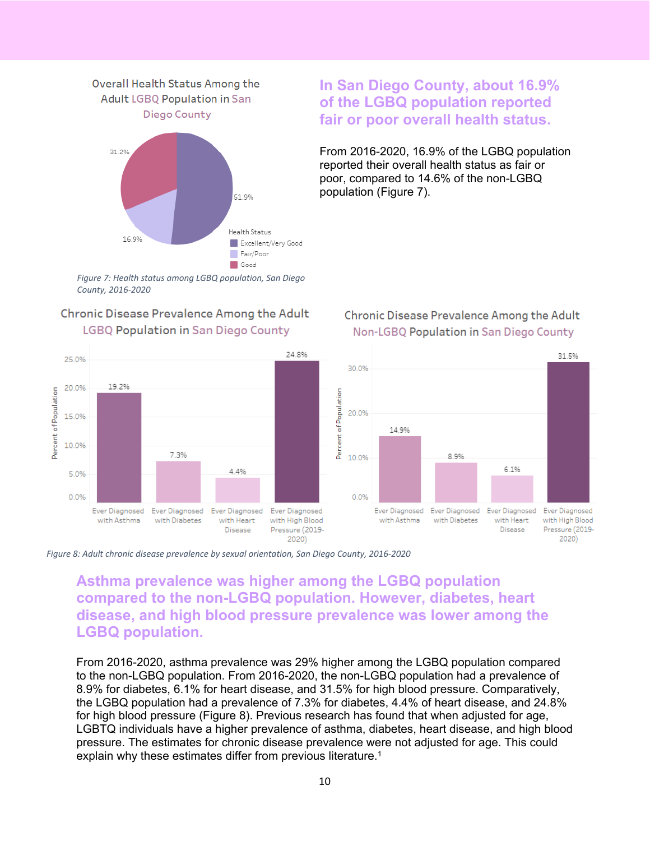

*Figure 7: Health status among LGBQ population, San Diego County, 2016-2020*

#### Chronic Disease Prevalence Among the Adult **LGBQ Population in San Diego County**



#### **In San Diego County, about 16.9% of the LGBQ population reported fair or poor overall health status.**

From 2016-2020, 16.9% of the LGBQ population reported their overall health status as fair or poor, compared to 14.6% of the non-LGBQ population (Figure 7).

#### Chronic Disease Prevalence Among the Adult Non-LGBQ Population in San Diego County



*Figure 8: Adult chronic disease prevalence by sexual orientation, San Diego County, 2016-2020*

#### **Asthma prevalence was higher among the LGBQ population compared to the non-LGBQ population. However, diabetes, heart disease, and high blood pressure prevalence was lower among the LGBQ population.**

From 2016-2020, asthma prevalence was 29% higher among the LGBQ population compared to the non-LGBQ population. From 2016-2020, the non-LGBQ population had a prevalence of 8.9% for diabetes, 6.1% for heart disease, and 31.5% for high blood pressure. Comparatively, the LGBQ population had a prevalence of 7.3% for diabetes, 4.4% of heart disease, and 24.8% for high blood pressure (Figure 8). Previous research has found that when adjusted for age, LGBTQ individuals have a higher prevalence of asthma, diabetes, heart disease, and high blood pressure. The estimates for chronic disease prevalence were not adjusted for age. This could explain why these estimates differ from previous literature.<sup>1</sup>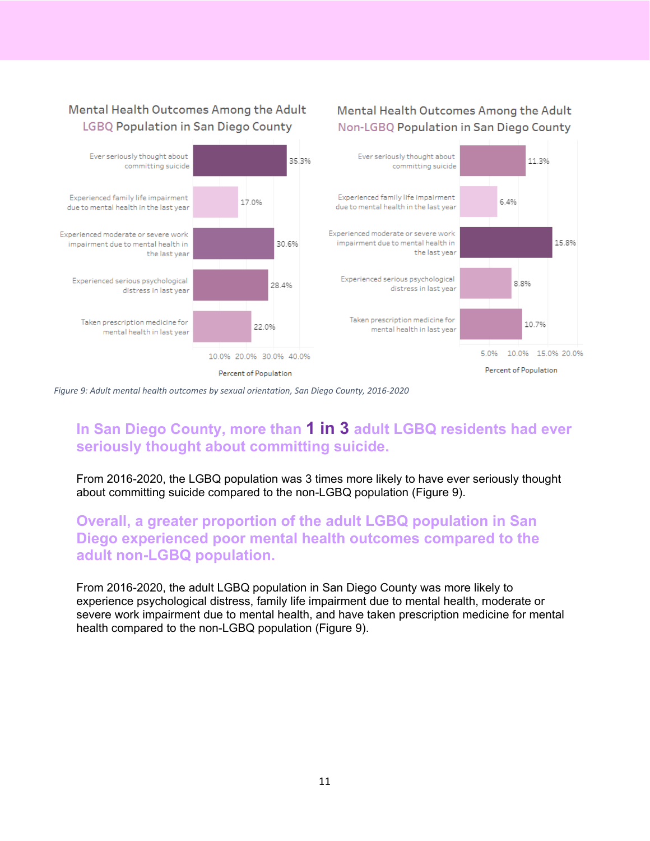#### Mental Health Outcomes Among the Adult Non-LGBQ Population in San Diego County



*Figure 9: Adult mental health outcomes by sexual orientation, San Diego County, 2016-2020*

Mental Health Outcomes Among the Adult

**LGBQ Population in San Diego County** 

## **In San Diego County, more than 1 in 3 adult LGBQ residents had ever seriously thought about committing suicide.**

From 2016-2020, the LGBQ population was 3 times more likely to have ever seriously thought about committing suicide compared to the non-LGBQ population (Figure 9).

#### **Overall, a greater proportion of the adult LGBQ population in San Diego experienced poor mental health outcomes compared to the adult non-LGBQ population.**

From 2016-2020, the adult LGBQ population in San Diego County was more likely to experience psychological distress, family life impairment due to mental health, moderate or severe work impairment due to mental health, and have taken prescription medicine for mental health compared to the non-LGBQ population (Figure 9).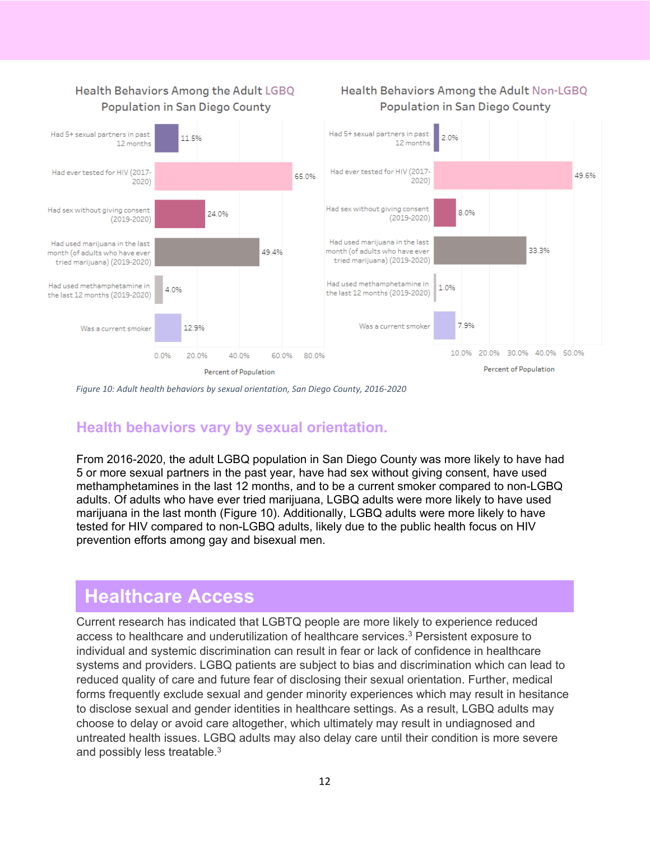

*Figure 10: Adult health behaviors by sexual orientation, San Diego County, 2016-2020*

## **Health behaviors vary by sexual orientation.**

From 2016-2020, the adult LGBQ population in San Diego County was more likely to have had 5 or more sexual partners in the past year, have had sex without giving consent, have used methamphetamines in the last 12 months, and to be a current smoker compared to non-LGBQ adults. Of adults who have ever tried marijuana, LGBQ adults were more likely to have used marijuana in the last month (Figure 10). Additionally, LGBQ adults were more likely to have tested for HIV compared to non-LGBQ adults, likely due to the public health focus on HIV prevention efforts among gay and bisexual men.

## **Healthcare Access**

Current research has indicated that LGBTQ people are more likely to experience reduced access to healthcare and underutilization of healthcare services. <sup>3</sup> Persistent exposure to individual and systemic discrimination can result in fear or lack of confidence in healthcare systems and providers. LGBQ patients are subject to bias and discrimination which can lead to reduced quality of care and future fear of disclosing their sexual orientation. Further, medical forms frequently exclude sexual and gender minority experiences which may result in hesitance to disclose sexual and gender identities in healthcare settings. As a result, LGBQ adults may choose to delay or avoid care altogether, which ultimately may result in undiagnosed and untreated health issues. LGBQ adults may also delay care until their condition is more severe and possibly less treatable.3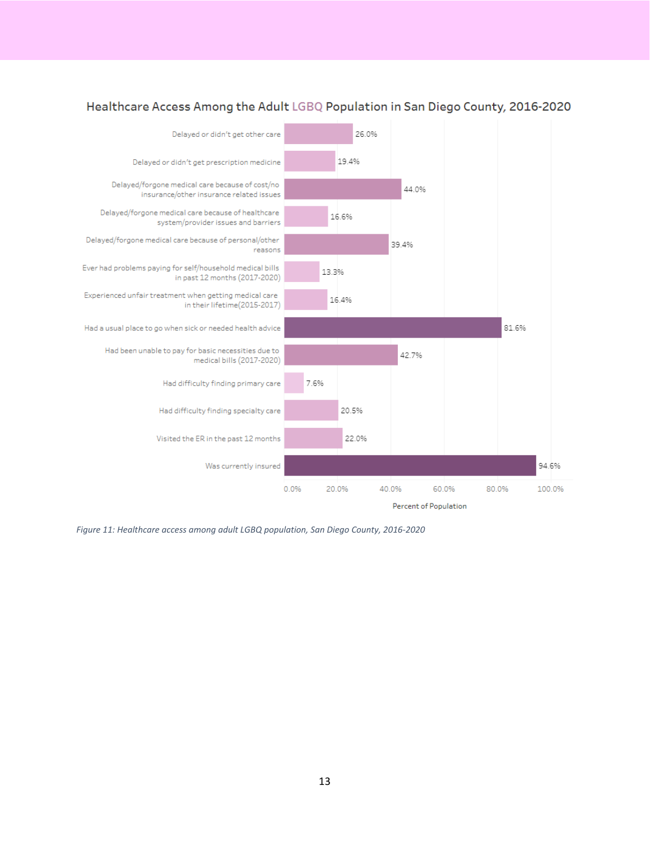

#### Healthcare Access Among the Adult LGBQ Population in San Diego County, 2016-2020

*Figure 11: Healthcare access among adult LGBQ population, San Diego County, 2016-2020*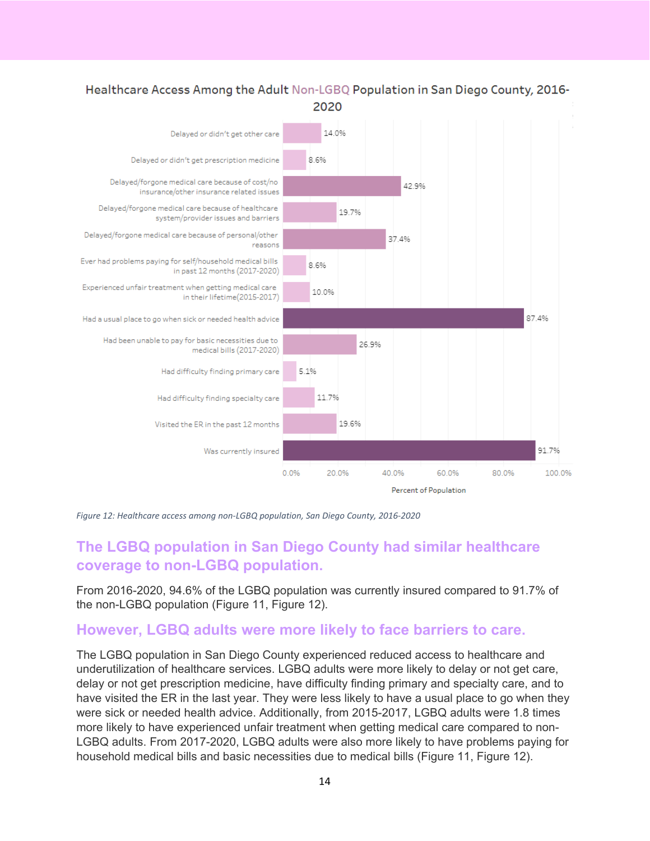#### Healthcare Access Among the Adult Non-LGBQ Population in San Diego County, 2016-2020



*Figure 12: Healthcare access among non-LGBQ population, San Diego County, 2016-2020*

## **The LGBQ population in San Diego County had similar healthcare coverage to non-LGBQ population.**

From 2016-2020, 94.6% of the LGBQ population was currently insured compared to 91.7% of the non-LGBQ population (Figure 11, Figure 12).

#### **However, LGBQ adults were more likely to face barriers to care.**

The LGBQ population in San Diego County experienced reduced access to healthcare and underutilization of healthcare services. LGBQ adults were more likely to delay or not get care, delay or not get prescription medicine, have difficulty finding primary and specialty care, and to have visited the ER in the last year. They were less likely to have a usual place to go when they were sick or needed health advice. Additionally, from 2015-2017, LGBQ adults were 1.8 times more likely to have experienced unfair treatment when getting medical care compared to non-LGBQ adults. From 2017-2020, LGBQ adults were also more likely to have problems paying for household medical bills and basic necessities due to medical bills (Figure 11, Figure 12).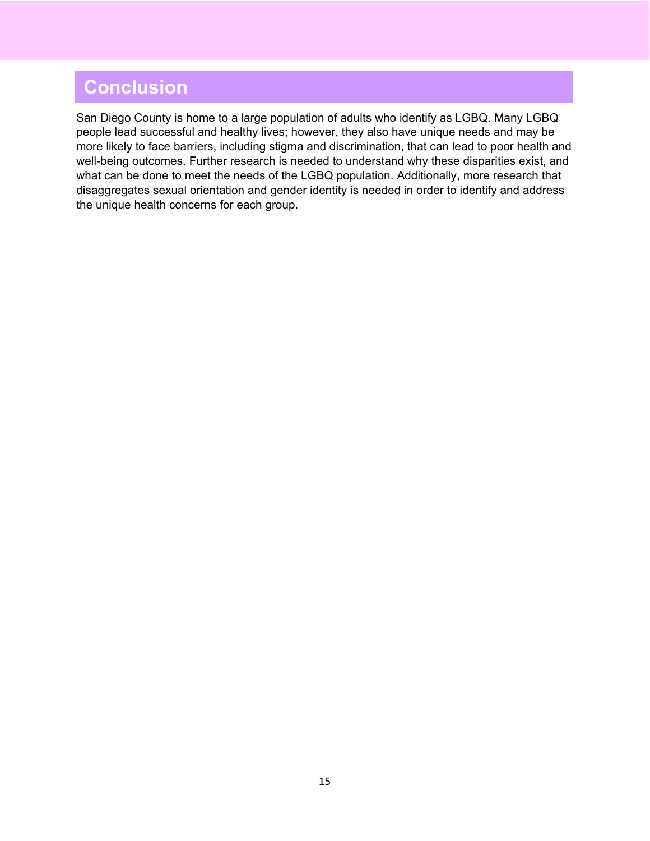# **Conclusion**

San Diego County is home to a large population of adults who identify as LGBQ. Many LGBQ people lead successful and healthy lives; however, they also have unique needs and may be more likely to face barriers, including stigma and discrimination, that can lead to poor health and well-being outcomes. Further research is needed to understand why these disparities exist, and what can be done to meet the needs of the LGBQ population. Additionally, more research that disaggregates sexual orientation and gender identity is needed in order to identify and address the unique health concerns for each group.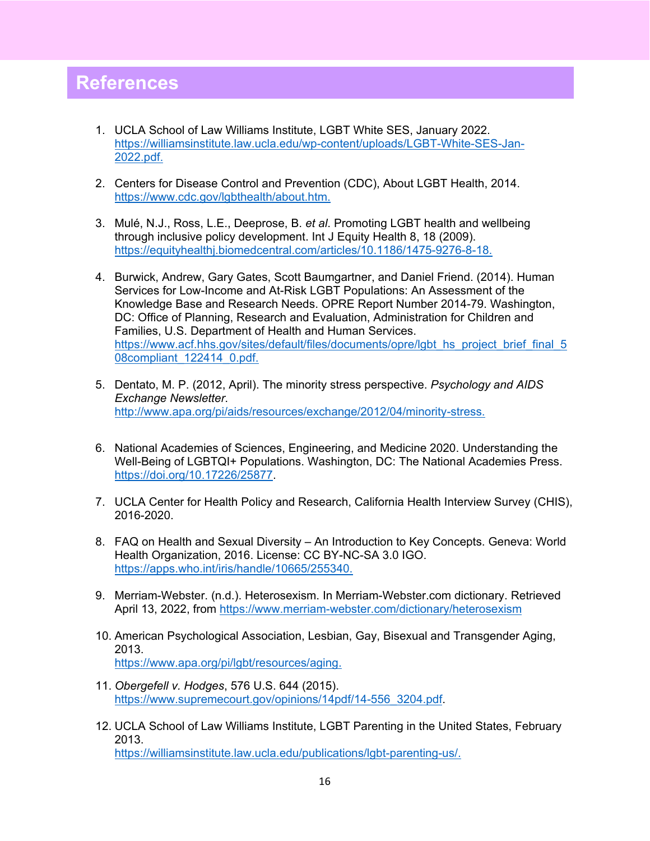## **References**

- 1. UCLA School of Law Williams Institute, LGBT White SES, January 2022. [https://williamsinstitute.law.ucla.edu/wp-content/uploads/LGBT-White-SES-Jan-](https://williamsinstitute.law.ucla.edu/wp-content/uploads/LGBT-White-SES-Jan-2022.pdf)[2022.pdf.](https://williamsinstitute.law.ucla.edu/wp-content/uploads/LGBT-White-SES-Jan-2022.pdf)
- 2. Centers for Disease Control and Prevention (CDC), About LGBT Health, 2014. [https://www.cdc.gov/lgbthealth/about.htm.](https://www.cdc.gov/lgbthealth/about.htm)
- 3. Mulé, N.J., Ross, L.E., Deeprose, B. *et al*. Promoting LGBT health and wellbeing through inclusive policy development. Int J Equity Health 8, 18 (2009). [https://equityhealthj.biomedcentral.com/articles/10.1186/1475-9276-8-18.](https://equityhealthj.biomedcentral.com/articles/10.1186/1475-9276-8-18)
- 4. Burwick, Andrew, Gary Gates, Scott Baumgartner, and Daniel Friend. (2014). Human Services for Low-Income and At-Risk LGBT Populations: An Assessment of the Knowledge Base and Research Needs. OPRE Report Number 2014-79. Washington, DC: Office of Planning, Research and Evaluation, Administration for Children and Families, U.S. Department of Health and Human Services. [https://www.acf.hhs.gov/sites/default/files/documents/opre/lgbt\\_hs\\_project\\_brief\\_final\\_5](https://www.acf.hhs.gov/sites/default/files/documents/opre/lgbt_hs_project_brief_final_508compliant_122414_0.pdf) [08compliant\\_122414\\_0.pdf.](https://www.acf.hhs.gov/sites/default/files/documents/opre/lgbt_hs_project_brief_final_508compliant_122414_0.pdf)
- 5. Dentato, M. P. (2012, April). The minority stress perspective. *Psychology and AIDS Exchange Newsletter*. [http://www.apa.org/pi/aids/resources/exchange/2012/04/minority-stress.](http://www.apa.org/pi/aids/resources/exchange/2012/04/minority-stress)
- 6. National Academies of Sciences, Engineering, and Medicine 2020. Understanding the Well-Being of LGBTQI+ Populations. Washington, DC: The National Academies Press. [https://doi.org/10.17226/25877.](https://doi.org/10.17226/25877)
- 7. UCLA Center for Health Policy and Research, California Health Interview Survey (CHIS), 2016-2020.
- 8. FAQ on Health and Sexual Diversity An Introduction to Key Concepts. Geneva: World Health Organization, 2016. License: CC BY-NC-SA 3.0 IGO. [https://apps.who.int/iris/handle/10665/255340.](https://apps.who.int/iris/handle/10665/255340)
- 9. Merriam-Webster. (n.d.). Heterosexism. In Merriam-Webster.com dictionary. Retrieved April 13, 2022, from<https://www.merriam-webster.com/dictionary/heterosexism>
- 10. American Psychological Association, Lesbian, Gay, Bisexual and Transgender Aging, 2013. [https://www.apa.org/pi/lgbt/resources/aging.](https://www.apa.org/pi/lgbt/resources/aging)
- 11. *Obergefell v. Hodges*, 576 U.S. 644 (2015). [https://www.supremecourt.gov/opinions/14pdf/14-556\\_3204.pdf.](https://www.supremecourt.gov/opinions/14pdf/14-556_3204.pdf)
- 12. UCLA School of Law Williams Institute, LGBT Parenting in the United States, February 2013. [https://williamsinstitute.law.ucla.edu/publications/lgbt-parenting-us/.](https://williamsinstitute.law.ucla.edu/publications/lgbt-parenting-us/)